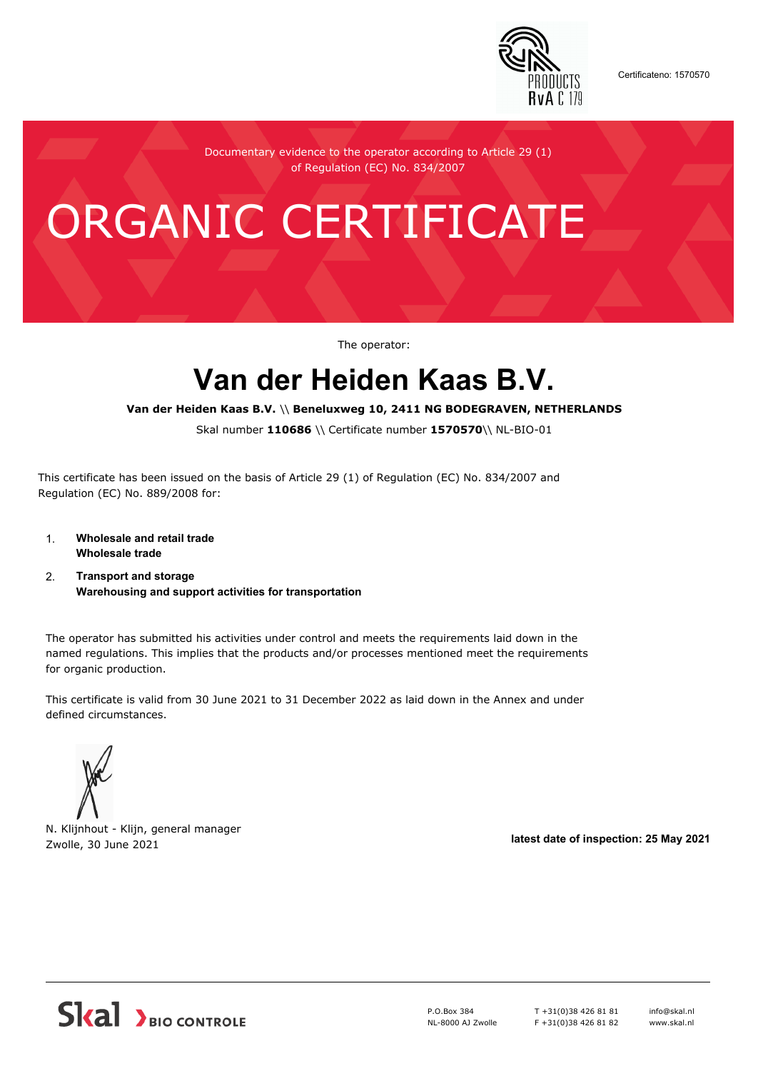

Certificateno: 1570570

Documentary evidence to the operator according to Article 29 (1) of Regulation (EC) No. 834/2007

# ORGANIC CERTIFICATE

The operator:

## **Van der Heiden Kaas B.V.**

**Van der Heiden Kaas B.V.** \\ **Beneluxweg 10, 2411 NG BODEGRAVEN, NETHERLANDS**

Skal number **110686** \\ Certificate number **1570570**\\ NL-BIO-01

This certificate has been issued on the basis of Article 29 (1) of Regulation (EC) No. 834/2007 and Regulation (EC) No. 889/2008 for:

- 1. **Wholesale and retail trade Wholesale trade**
- 2. **Transport and storage Warehousing and support activities for transportation**

The operator has submitted his activities under control and meets the requirements laid down in the named regulations. This implies that the products and/or processes mentioned meet the requirements for organic production.

This certificate is valid from 30 June 2021 to 31 December 2022 as laid down in the Annex and under defined circumstances.

N. Klijnhout - Klijn, general manager Zwolle, 30 June 2021 **latest date of inspection: 25 May 2021**



P.O.Box 384 NL-8000 AJ Zwolle